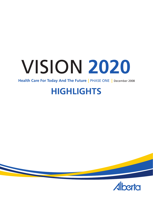# VISION **2020**

 **Health Care For Today And The Future** | PHASE ONE | December 2008

# **HIGHLIGHTS**



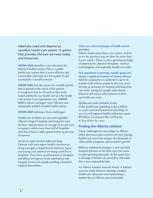Albertans need and deserve an excellent health-care system. A system that provides the care we need today and tomorrow.

**Vision 2020** identifies a new direction for Alberta's health system. This is a public health care system that is more effective and accountable and improves the quality of and accessibility to health services.

**Vision 2020** sets the course for a health system that is geared to the needs of the patient. It recognizes that we all need to take more responsibility for our health and use the health care system in an appropriate way. **Vision 2020** is about a stronger, more efficient and sustainable publicly-funded health system.

**Vision 2020** addresses these challenges:

**Health-care facilities are not used equitably.**

Alberta's largest hospitals and long-term care facilities operate above an average of 90 per cent occupancy, while more than half of hospitals with fewer than 20 beds operate below 75 per cent occupancy.

**Access to some services takes too long.** Patients with non-urgent health concerns are using emergency departments while too many continuing care patients are being cared for in hospitals. This backs up admissions in hospitals and delays emergency room admissions and hospital services for people needing scheduled surgical procedures.

#### **There are critical shortages of health service providers.**

Alberta needs more than 1,500 nurses, and by 2020 the province may be short by more than 6,000 nurses. There is also a growing shortage of pharmacists, physical therapists, medical technologists, and especially health-care aides.

**Our population is growing, rapidly aging and facing a significant burden of chronic disease.** Alberta's population is predicted to grow by another half million people by the year 2020, driving up demand for hospital and long-term care beds. Caring for people with chronic diseases and cancer will continue to drive up health-care costs.

#### **Health-care costs continue to rise.**

Today health-care spending is \$13.4 billion or 35 per cent of all provincial spending. In 2007/2008 regional health authorities spent \$8 billion, an amount that could grow to \$24 billion by 2020.

# **Finding the Alberta solution**

These challenges are not unique to Alberta. Other provinces and countries are now paying health-care costs that outpace the demands of other public programs and economic growth.

Without substantial changes, a new 300-bed hospital will have to be built every two years to meet growing demands. At the same time, a shortage of health-care providers will make this a near impossible task.

An Alberta solution must be found. A balance must be made between meeting complex health-care demands and maintaining a system that is efficient and sustainable.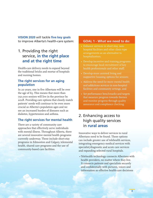**VISION 2020** will tackle **five key goals** to improve Alberta's health-care system:

# 1. Providing the right service, **in the right place and at the right time**

Health-care delivery needs to expand beyond the traditional bricks and mortar of hospitals and nursing homes.

# **The right services for an aging population**

In 20 years, one in five Albertans will be over the age of 65. This means that more than 750,000 seniors will live in the province by 2028. Providing care options that closely match patients' needs will continue to be even more crucial as Alberta's population ages and we see an increased burden of diseases such as diabetes, hypertension and asthma.

# **The right services for mental health**

There are a variety of community care approaches that effectively serve individuals with mental illness. Throughout Alberta, there are several innovative mental health programs currently underway. These include short-stay programs in Edmonton and Calgary, telemental health, shared care programs and the use of community-based care facilities.

#### **GOAL 1 - What we need to do:**

- Enhance services in short stay, nonhospital facilities and other clinic-type arrangements as an alternative to
- Develop incentive and training programs to encourage local recruitment of key
- Develop more assisted living and supportive housing options for seniors;
- Address the need for more mental health and addictions services in non-hospital facilities and community settings, and
- Set performance benchmarks and targets that measure progress towards themes and monitor progress through quality assurance and compliance checking.

# 2. Enhancing access to high quality services in **rural areas**

Innovative ways to deliver services to rural Albertans need to be found. These options can include greater use of telehealth services, integrating emergency medical services with specialist/diagnostic and acute care services and expanding selected rural hospitals.

• Telehealth technology connects Albertans with health providers, no matter where they live. It connects patients and specialists securely and confidentially with pictures, voices and information so effective health-care decisions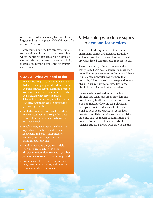can be made. Alberta already has one of the largest and best integrated telehealth networks in North America.

• Highly trained paramedics can have a phone conversation with a physician to determine whether a patient can actually be treated on site and released, or taken to a walk-in clinic, instead of requiring a trip to the emergency department.

#### **GOAL 2 - What we need to do:**

- Review the range of services at hospitals that are existing, approved and underway, and those in the capital planning process to ensure they reflect local requirements and evaluate what services can be delivered more effectively in either shortstay care, outpatient care or other clinictype arrangements;
- intake assessment and triage for select services to improve co-ordination on a
- Enable emergency medical technicians to practise to the full extent of their knowledge and skills, supported by necessary medical supervision and training requirements;
- Develop incentive programs modeled after initiatives such as the Rural Physician Action Plan to encourage other professions to work in rural settings; and
- • Promote use of telehealth for preventative care, treatment purposes, and increased access in local communities.

# 3. Matching workforce supply to **demand for services**

A modern health system requires multidisciplinary teams and increased flexibility, and as a result the skills and training of health providers have been expanded in recent years.

There are now 29 primary care networks that provide basic health services to more than 1.9 million people in communities across Alberta. Primary care networks involve more than 1,600 physicians, as well as nurse practitioners, pharmacists, registered nurses, dietitians, physical therapists and other providers.

Pharmacists, registered nurses, dietitians, physical therapists and other providers can provide many health services that don't require a doctor. Instead of relying on a physician to help control their diabetes, for instance, a diabetic can see a pharmacist at the local drugstore for diabetes information and advice on topics such as medication, nutrition and exercise. Nurse practitioners can also help manage care for patients with chronic diseases.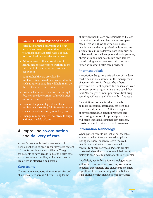## **GOAL 3 - What we need to do:**

- Introduce targeted near-term and longterm recruitment and retention strategies focus on health-care aides and nurses;
- Address barriers that currently limit health-care providers from working to the full extent of their education, skill and experience;
- Support health care providers by implementing revised processes and tools, such as automation, that will help them do the job they have been trained to do;
- Promote team-based care by continuing to focus on the development of models such as primary care networks;
- Increase the percentage of health-care professionals working full-time to improve consistency of care and productivity; and
- Change reimbursement incentives to align with new models of care.

# 4. Improving **co-ordination** and **delivery of care**

Alberta's new single health service board has been established to provide an integrated system of care for residents across Alberta. The goal is for patients to have access to quality health care no matter where they live, while using health resources as effectively as possible.

## **Care teams**

There are many opportunities to maximize and share resources across Alberta. Using teams

of different health-care professionals will allow more physician time to be spent on complex cases. This will allow pharmacists, nurse practitioners and other professionals to assume a greater role in care delivery. New roles such as patient navigators will support and assist patients, physicians and other health-care providers by co-ordinating patient services and acting as a liaison with other health-care providers.

# **Pharmaceuticals**

Prescription drugs are a critical part of modern medicine and are essential in the management of acute and chronic illness. The Alberta government currently spends \$1.2 billion each year on prescription drugs and it is anticipated that total Alberta government pharmaceutical drug spending will reach \$2 billion within five years.

Prescription coverage in Alberta needs to be more accessible, affordable, efficient and therapeutically effective. Better management of government drug benefit programs and purchasing processes for prescription drugs will mean increased sustainability, fairness, consistency and equity across all programs.

# **Information technology**

When patient records are lost or not available where and when they are needed, duplicate testing increases, patient safety is reduced, practitioner and patient time is wasted, and continuity of care decreases. Patients are also frustrated when they have to re-tell their health history to each health practitioner they encounter.

A well designed information technology system will improve information flow, improve access to patient information, and ensure patient safety regardless of the care setting. Alberta Netcare is an online, confidential electronic provincial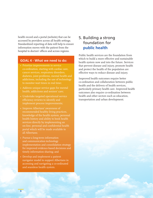health record and a portal (website) that can be accessed by providers across all health settings. Standardized reporting of data will help to ensure information moves with the patient from the hospital to doctors' offices and across regions.

#### **GOAL 4 - What we need to do:**

- co-ordination, starting with cardiac care, cancer services, respiratory disorders, addictions, including the use of technology to monitor wait times in real time;
- Address unique service gaps for mental health, addictions and seniors' care;
- Undertake targeted operational service
- Improve Albertans' awareness of recommended healthy living practices, knowledge of the health system, personal services directly by implementing an on-line, personal and confidential health portal which will be made available to all Albertans;
- Pursue a long-term information and communication technology implementation and consolidation strategy for improved evidence-based decisions and timely information sharing; and
- Develop and implement a patient navigator model to support Albertans in accessing and navigating a co-ordinated and seamless health system.

# 5. Building a strong foundation for **public health**

Public health services are the foundation from which to build a more effective and sustainable health system now and into the future. Services that prevent disease and injury, promote health and protect the health of the population are effective ways to reduce disease and injury.

Improved health outcomes require better co-ordination and collaboration between public health and the delivery of health services, particularly primary health care. Improved health outcomes also require co-ordination between health and other sectors such as education. transportation and urban development.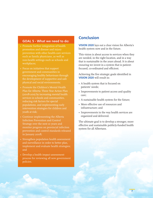# **GOAL 5 - What we need to do:**

- Promote further integration of health promotion and disease and injury such as family physicians, as well as non-health settings such as schools and workplaces;
- Focus on initiatives that support government and communities in encouraging healthy behaviours through the development of supportive and safe
- Promote the Children's Mental Health Plan for Alberta: Three Year Action Plan (2008-2011) by increasing mental health services in schools and communities, reducing risk factors for special populations, and implementing early intervention strategies for children and youth at risk;
- Continue implementing the Alberta Infection Prevention and Control Strategy over the next 10 years and monitor progress on provincial infection prevention and control standards released in January 2008;
- Strengthen population health assessment and surveillance in order to better plan, implement and evaluate health strategies; and
- Develop a health impact assessment process for reviewing all new government policies.

# **Conclusion**

**Vision 2020** lays out a clear vision for Alberta's health system now and in the future.

This vision is about access to services when they are needed, in the right location, and in a way that is sustainable in the years ahead. It is about ensuring we invest in a system that is patientfocused, co-ordinated and efficient.

Achieving the five strategic goals identified in **Vision 2020** will result in:

- A health system that is focused on patients' needs;
- Improvements to patient access and quality care;
- A sustainable health system for the future;
- More effective use of resources and infrastructure; and
- Improvements in the way health services are organized and delivered.

The ultimate goal is to develop a stronger, more effective and sustainable publicly-funded health system for all Albertans.